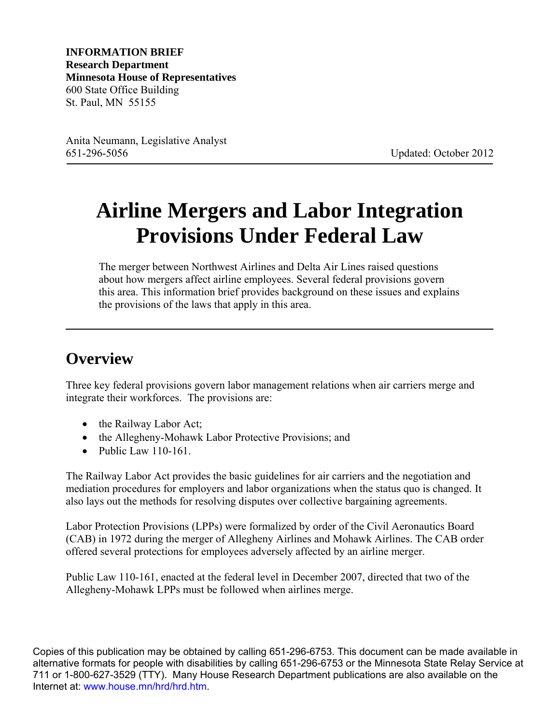**INFORMATION BRIEF Research Department Minnesota House of Representatives**  600 State Office Building St. Paul, MN 55155

Anita Neumann, Legislative Analyst 651-296-5056 Updated: October 2012

# **Airline Mergers and Labor Integration Provisions Under Federal Law**

The merger between Northwest Airlines and Delta Air Lines raised questions about how mergers affect airline employees. Several federal provisions govern this area. This information brief provides background on these issues and explains the provisions of the laws that apply in this area.

### **Overview**

Three key federal provisions govern labor management relations when air carriers merge and integrate their workforces. The provisions are:

- the Railway Labor Act;
- the Allegheny-Mohawk Labor Protective Provisions; and
- $\bullet$  Public Law 110-161.

The Railway Labor Act provides the basic guidelines for air carriers and the negotiation and mediation procedures for employers and labor organizations when the status quo is changed. It also lays out the methods for resolving disputes over collective bargaining agreements.

Labor Protection Provisions (LPPs) were formalized by order of the Civil Aeronautics Board (CAB) in 1972 during the merger of Allegheny Airlines and Mohawk Airlines. The CAB order offered several protections for employees adversely affected by an airline merger.

Public Law 110-161, enacted at the federal level in December 2007, directed that two of the Allegheny-Mohawk LPPs must be followed when airlines merge.

Copies of this publication may be obtained by calling 651-296-6753. This document can be made available in alternative formats for people with disabilities by calling 651-296-6753 or the Minnesota State Relay Service at 711 or 1-800-627-3529 (TTY). Many House Research Department publications are also available on the Internet at: [www.house.mn/hrd/hrd.htm.](http://www.house.mn/hrd/hrd.htm)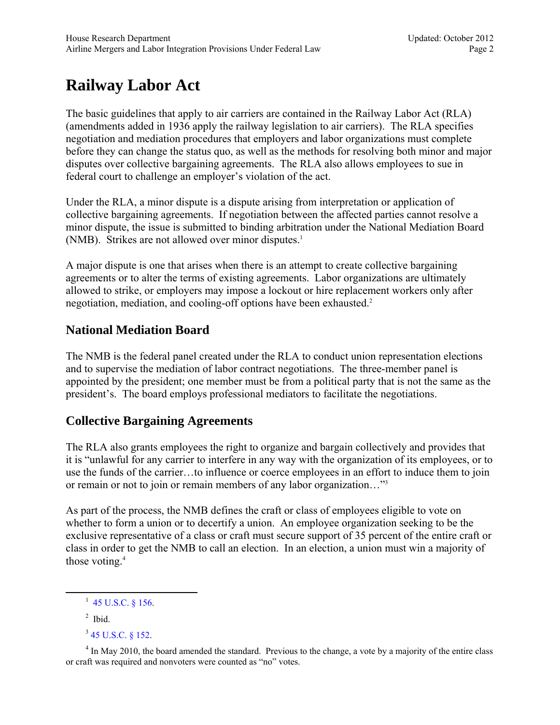## **Railway Labor Act**

The basic guidelines that apply to air carriers are contained in the Railway Labor Act (RLA) (amendments added in 1936 apply the railway legislation to air carriers). The RLA specifies negotiation and mediation procedures that employers and labor organizations must complete before they can change the status quo, as well as the methods for resolving both minor and major disputes over collective bargaining agreements. The RLA also allows employees to sue in federal court to challenge an employer's violation of the act.

Under the RLA, a minor dispute is a dispute arising from interpretation or application of collective bargaining agreements. If negotiation between the affected parties cannot resolve a minor dispute, the issue is submitted to binding arbitration under the National Mediation Board (NMB). Strikes are not allowed over minor disputes.<sup>1</sup>

A major dispute is one that arises when there is an attempt to create collective bargaining agreements or to alter the terms of existing agreements. Labor organizations are ultimately allowed to strike, or employers may impose a lockout or hire replacement workers only after negotiation, mediation, and cooling-off options have been exhausted.<sup>2</sup>

#### **National Mediation Board**

The NMB is the federal panel created under the RLA to conduct union representation elections and to supervise the mediation of labor contract negotiations. The three-member panel is appointed by the president; one member must be from a political party that is not the same as the president's. The board employs professional mediators to facilitate the negotiations.

#### **Collective Bargaining Agreements**

The RLA also grants employees the right to organize and bargain collectively and provides that it is "unlawful for any carrier to interfere in any way with the organization of its employees, or to use the funds of the carrier…to influence or coerce employees in an effort to induce them to join or remain or not to join or remain members of any labor organization…"3

As part of the process, the NMB defines the craft or class of employees eligible to vote on whether to form a union or to decertify a union. An employee organization seeking to be the exclusive representative of a class or craft must secure support of 35 percent of the entire craft or class in order to get the NMB to call an election. In an election, a union must win a majority of those voting.<sup>4</sup>

 $\overline{\phantom{a}1}$  $1\,$  [45 U.S.C. § 156.](http://www.law.cornell.edu/uscode/text/45/156)

 $<sup>2</sup>$  Ibid.</sup>

<sup>3</sup> [45 U.S.C. § 152.](http://www.law.cornell.edu/uscode/text/45/152)

 $4 \text{ In May 2010, the board amended the standard. Previous to the change, a vote by a majority of the entire class.}$ or craft was required and nonvoters were counted as "no" votes.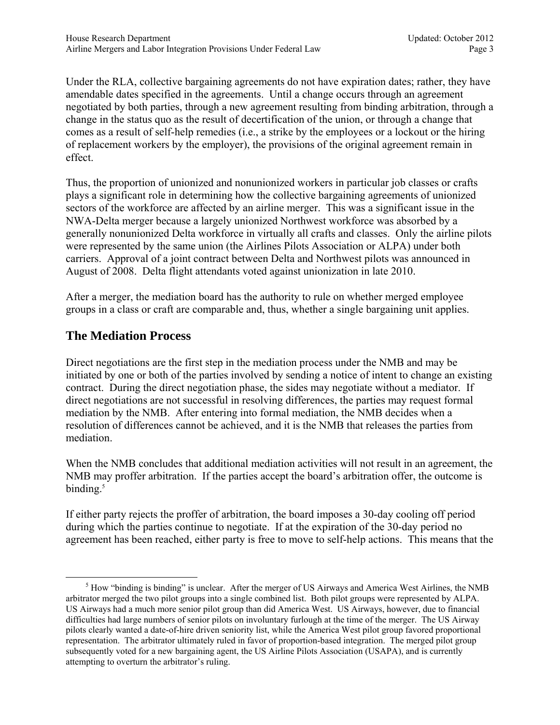Under the RLA, collective bargaining agreements do not have expiration dates; rather, they have amendable dates specified in the agreements. Until a change occurs through an agreement negotiated by both parties, through a new agreement resulting from binding arbitration, through a change in the status quo as the result of decertification of the union, or through a change that comes as a result of self-help remedies (i.e., a strike by the employees or a lockout or the hiring of replacement workers by the employer), the provisions of the original agreement remain in effect.

Thus, the proportion of unionized and nonunionized workers in particular job classes or crafts plays a significant role in determining how the collective bargaining agreements of unionized sectors of the workforce are affected by an airline merger. This was a significant issue in the NWA-Delta merger because a largely unionized Northwest workforce was absorbed by a generally nonunionized Delta workforce in virtually all crafts and classes. Only the airline pilots were represented by the same union (the Airlines Pilots Association or ALPA) under both carriers. Approval of a joint contract between Delta and Northwest pilots was announced in August of 2008. Delta flight attendants voted against unionization in late 2010.

After a merger, the mediation board has the authority to rule on whether merged employee groups in a class or craft are comparable and, thus, whether a single bargaining unit applies.

#### **The Mediation Process**

Direct negotiations are the first step in the mediation process under the NMB and may be initiated by one or both of the parties involved by sending a notice of intent to change an existing contract. During the direct negotiation phase, the sides may negotiate without a mediator. If direct negotiations are not successful in resolving differences, the parties may request formal mediation by the NMB. After entering into formal mediation, the NMB decides when a resolution of differences cannot be achieved, and it is the NMB that releases the parties from mediation.

When the NMB concludes that additional mediation activities will not result in an agreement, the NMB may proffer arbitration. If the parties accept the board's arbitration offer, the outcome is binding.<sup>5</sup>

If either party rejects the proffer of arbitration, the board imposes a 30-day cooling off period during which the parties continue to negotiate. If at the expiration of the 30-day period no agreement has been reached, either party is free to move to self-help actions. This means that the

 $\frac{1}{5}$  $<sup>5</sup>$  How "binding is binding" is unclear. After the merger of US Airways and America West Airlines, the NMB</sup> arbitrator merged the two pilot groups into a single combined list. Both pilot groups were represented by ALPA. US Airways had a much more senior pilot group than did America West. US Airways, however, due to financial difficulties had large numbers of senior pilots on involuntary furlough at the time of the merger. The US Airway pilots clearly wanted a date-of-hire driven seniority list, while the America West pilot group favored proportional representation. The arbitrator ultimately ruled in favor of proportion-based integration. The merged pilot group subsequently voted for a new bargaining agent, the US Airline Pilots Association (USAPA), and is currently attempting to overturn the arbitrator's ruling.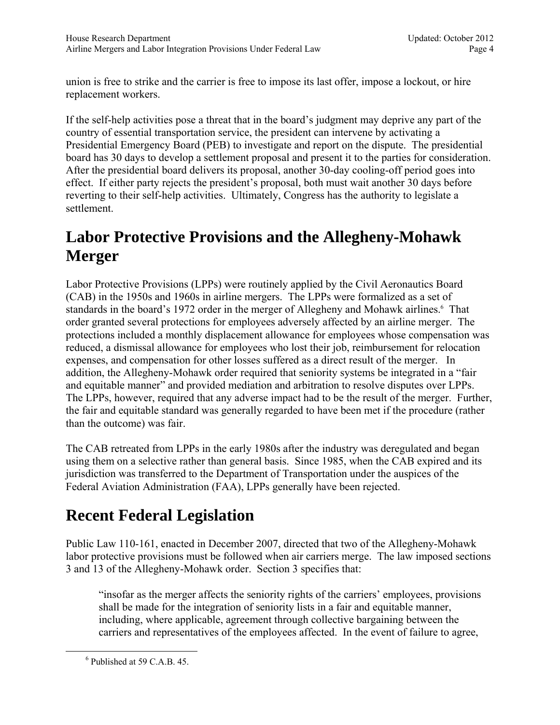union is free to strike and the carrier is free to impose its last offer, impose a lockout, or hire replacement workers.

If the self-help activities pose a threat that in the board's judgment may deprive any part of the country of essential transportation service, the president can intervene by activating a Presidential Emergency Board (PEB) to investigate and report on the dispute. The presidential board has 30 days to develop a settlement proposal and present it to the parties for consideration. After the presidential board delivers its proposal, another 30-day cooling-off period goes into effect. If either party rejects the president's proposal, both must wait another 30 days before reverting to their self-help activities. Ultimately, Congress has the authority to legislate a settlement.

### **Labor Protective Provisions and the Allegheny-Mohawk Merger**

Labor Protective Provisions (LPPs) were routinely applied by the Civil Aeronautics Board (CAB) in the 1950s and 1960s in airline mergers. The LPPs were formalized as a set of standards in the board's 1972 order in the merger of Allegheny and Mohawk airlines.<sup>6</sup> That order granted several protections for employees adversely affected by an airline merger. The protections included a monthly displacement allowance for employees whose compensation was reduced, a dismissal allowance for employees who lost their job, reimbursement for relocation expenses, and compensation for other losses suffered as a direct result of the merger. In addition, the Allegheny-Mohawk order required that seniority systems be integrated in a "fair and equitable manner" and provided mediation and arbitration to resolve disputes over LPPs. The LPPs, however, required that any adverse impact had to be the result of the merger. Further, the fair and equitable standard was generally regarded to have been met if the procedure (rather than the outcome) was fair.

The CAB retreated from LPPs in the early 1980s after the industry was deregulated and began using them on a selective rather than general basis. Since 1985, when the CAB expired and its jurisdiction was transferred to the Department of Transportation under the auspices of the Federal Aviation Administration (FAA), LPPs generally have been rejected.

### **Recent Federal Legislation**

Public Law 110-161, enacted in December 2007, directed that two of the Allegheny-Mohawk labor protective provisions must be followed when air carriers merge. The law imposed sections 3 and 13 of the Allegheny-Mohawk order. Section 3 specifies that:

"insofar as the merger affects the seniority rights of the carriers' employees, provisions shall be made for the integration of seniority lists in a fair and equitable manner, including, where applicable, agreement through collective bargaining between the carriers and representatives of the employees affected. In the event of failure to agree,

 $\overline{6}$  $6$  Published at 59 C.A.B. 45.